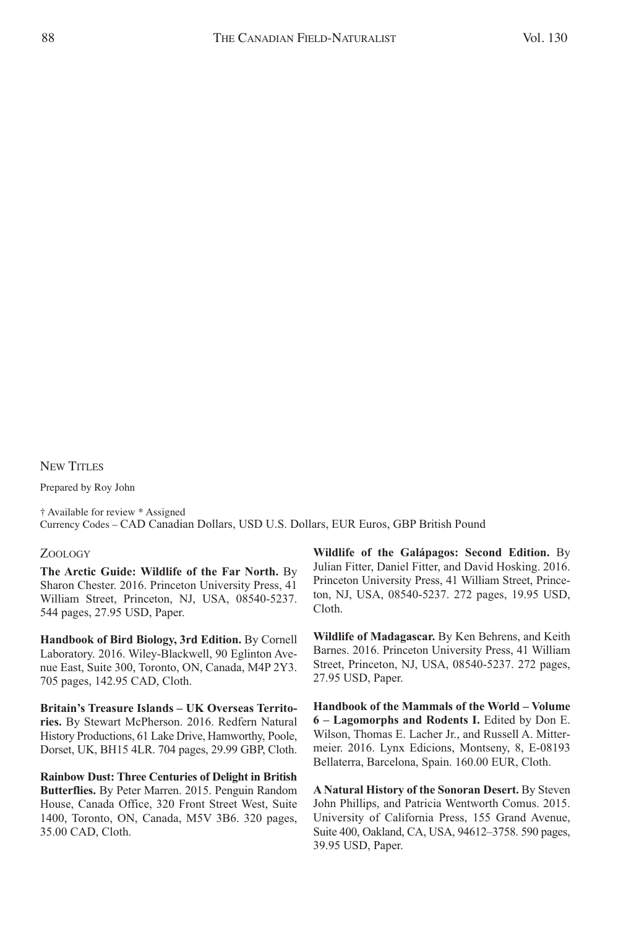## NEW TITLES

Prepared by Roy John

† Available for review \* Assigned Currency Codes – CAD Canadian Dollars, USD U.S. Dollars, EUR Euros, GBP British Pound

## ZOOLOGY

**The Arctic Guide: Wildlife of the Far North.** By Sharon Chester. 2016. Princeton University Press, 41 William Street, Princeton, NJ, USA, 08540-5237. 544 pages, 27.95 USD, Paper.

**Handbook of Bird Biology, 3rd Edition.** By Cornell Laboratory. 2016. Wiley-Blackwell, 90 Eglinton Avenue East, Suite 300, Toronto, ON, Canada, M4P 2Y3. 705 pages, 142.95 CAD, Cloth.

**Britain's Treasure Islands – UK Overseas Territories.** By Stewart McPherson. 2016. Redfern Natural History Productions, 61 Lake Drive, Hamworthy, Poole, Dorset, UK, BH15 4LR. 704 pages, 29.99 GBP, Cloth.

**Rainbow Dust: Three Centuries of Delight in British Butterflies.** By Peter Marren. 2015. Penguin Random House, Canada Office, 320 Front Street West, Suite 1400, Toronto, ON, Canada, M5V 3B6. 320 pages, 35.00 CAD, Cloth.

**Wildlife of the Galápagos: Second Edition.** By Julian Fitter, Daniel Fitter, and David Hosking. 2016. Princeton University Press, 41 William Street, Princeton, NJ, USA, 08540-5237. 272 pages, 19.95 USD, Cloth.

**Wildlife of Madagascar.** By Ken Behrens, and Keith Barnes. 2016. Princeton University Press, 41 William Street, Princeton, NJ, USA, 08540-5237. 272 pages, 27.95 USD, Paper.

**Handbook of the Mammals of the World – Volume 6 – Lagomorphs and Rodents I.** Edited by Don E. Wilson, Thomas E. Lacher Jr., and Russell A. Mittermeier. 2016. Lynx Edicions, Montseny, 8, E-08193 Bellaterra, Barcelona, Spain. 160.00 EUR, Cloth.

**A Natural History of the Sonoran Desert.** By Steven John Phillips, and Patricia Wentworth Comus. 2015. University of California Press, 155 Grand Avenue, Suite 400, Oakland, CA, USA, 94612–3758. 590 pages, 39.95 USD, Paper.